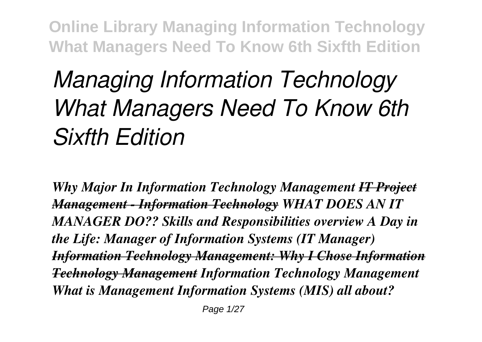## *Managing Information Technology What Managers Need To Know 6th Sixfth Edition*

*Why Major In Information Technology Management IT Project Management - Information Technology WHAT DOES AN IT MANAGER DO?? Skills and Responsibilities overview A Day in the Life: Manager of Information Systems (IT Manager) Information Technology Management: Why I Chose Information Technology Management Information Technology Management What is Management Information Systems (MIS) all about?*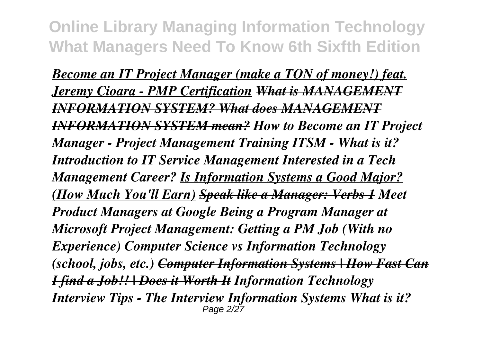*Become an IT Project Manager (make a TON of money!) feat. Jeremy Cioara - PMP Certification What is MANAGEMENT INFORMATION SYSTEM? What does MANAGEMENT INFORMATION SYSTEM mean? How to Become an IT Project Manager - Project Management Training ITSM - What is it? Introduction to IT Service Management Interested in a Tech Management Career? Is Information Systems a Good Major? (How Much You'll Earn) Speak like a Manager: Verbs 1 Meet Product Managers at Google Being a Program Manager at Microsoft Project Management: Getting a PM Job (With no Experience) Computer Science vs Information Technology (school, jobs, etc.) Computer Information Systems | How Fast Can I find a Job!! | Does it Worth It Information Technology Interview Tips - The Interview Information Systems What is it?* Page 2/27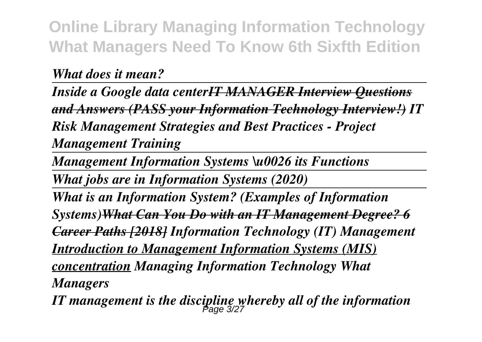*What does it mean?* 

*Inside a Google data centerIT MANAGER Interview Questions and Answers (PASS your Information Technology Interview!) IT Risk Management Strategies and Best Practices - Project Management Training*

*Management Information Systems \u0026 its Functions*

*What jobs are in Information Systems (2020)*

*What is an Information System? (Examples of Information Systems)What Can You Do with an IT Management Degree? 6 Career Paths [2018] Information Technology (IT) Management Introduction to Management Information Systems (MIS) concentration Managing Information Technology What Managers*

*IT management is the discipline whereby all of the information* Page 3/27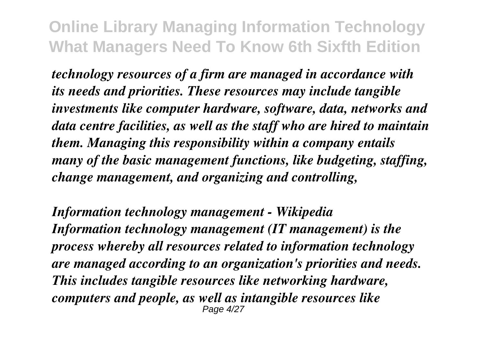*technology resources of a firm are managed in accordance with its needs and priorities. These resources may include tangible investments like computer hardware, software, data, networks and data centre facilities, as well as the staff who are hired to maintain them. Managing this responsibility within a company entails many of the basic management functions, like budgeting, staffing, change management, and organizing and controlling,*

*Information technology management - Wikipedia Information technology management (IT management) is the process whereby all resources related to information technology are managed according to an organization's priorities and needs. This includes tangible resources like networking hardware, computers and people, as well as intangible resources like* Page 4/27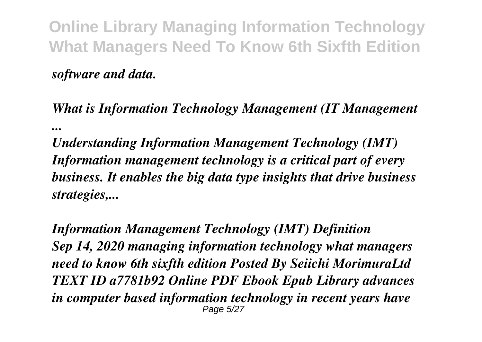*software and data.*

*What is Information Technology Management (IT Management ...*

*Understanding Information Management Technology (IMT) Information management technology is a critical part of every business. It enables the big data type insights that drive business strategies,...*

*Information Management Technology (IMT) Definition Sep 14, 2020 managing information technology what managers need to know 6th sixfth edition Posted By Seiichi MorimuraLtd TEXT ID a7781b92 Online PDF Ebook Epub Library advances in computer based information technology in recent years have* Page 5/27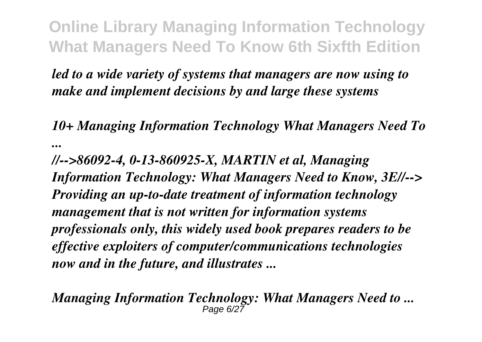*led to a wide variety of systems that managers are now using to make and implement decisions by and large these systems*

*10+ Managing Information Technology What Managers Need To ...*

*//-->86092-4, 0-13-860925-X, MARTIN et al, Managing Information Technology: What Managers Need to Know, 3E//--> Providing an up-to-date treatment of information technology management that is not written for information systems professionals only, this widely used book prepares readers to be effective exploiters of computer/communications technologies now and in the future, and illustrates ...*

*Managing Information Technology: What Managers Need to ...* Page  $6/27$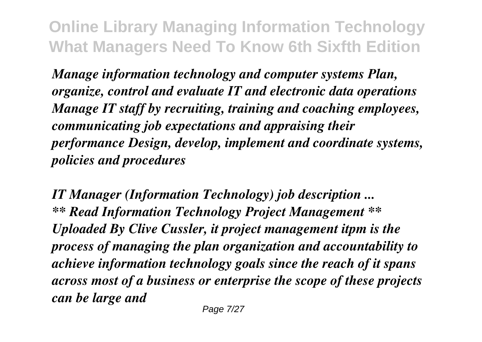*Manage information technology and computer systems Plan, organize, control and evaluate IT and electronic data operations Manage IT staff by recruiting, training and coaching employees, communicating job expectations and appraising their performance Design, develop, implement and coordinate systems, policies and procedures*

*IT Manager (Information Technology) job description ... \*\* Read Information Technology Project Management \*\* Uploaded By Clive Cussler, it project management itpm is the process of managing the plan organization and accountability to achieve information technology goals since the reach of it spans across most of a business or enterprise the scope of these projects can be large and*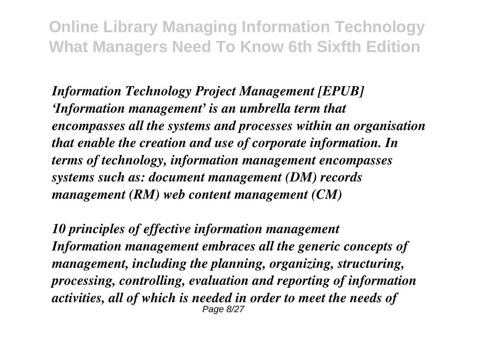*Information Technology Project Management [EPUB] 'Information management' is an umbrella term that encompasses all the systems and processes within an organisation that enable the creation and use of corporate information. In terms of technology, information management encompasses systems such as: document management (DM) records management (RM) web content management (CM)*

*10 principles of effective information management Information management embraces all the generic concepts of management, including the planning, organizing, structuring, processing, controlling, evaluation and reporting of information activities, all of which is needed in order to meet the needs of* Page 8/27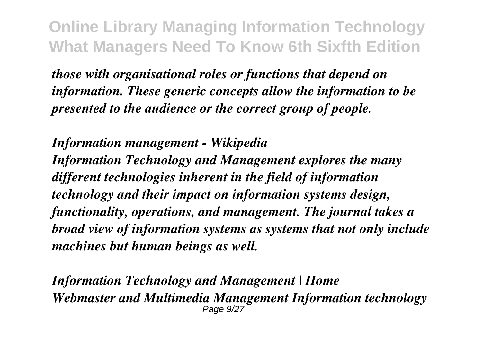*those with organisational roles or functions that depend on information. These generic concepts allow the information to be presented to the audience or the correct group of people.*

*Information management - Wikipedia Information Technology and Management explores the many different technologies inherent in the field of information technology and their impact on information systems design, functionality, operations, and management. The journal takes a broad view of information systems as systems that not only include machines but human beings as well.*

*Information Technology and Management | Home Webmaster and Multimedia Management Information technology* Page 9/27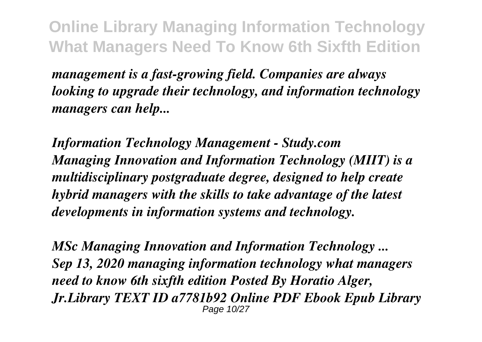*management is a fast-growing field. Companies are always looking to upgrade their technology, and information technology managers can help...*

*Information Technology Management - Study.com Managing Innovation and Information Technology (MIIT) is a multidisciplinary postgraduate degree, designed to help create hybrid managers with the skills to take advantage of the latest developments in information systems and technology.*

*MSc Managing Innovation and Information Technology ... Sep 13, 2020 managing information technology what managers need to know 6th sixfth edition Posted By Horatio Alger, Jr.Library TEXT ID a7781b92 Online PDF Ebook Epub Library* Page 10/27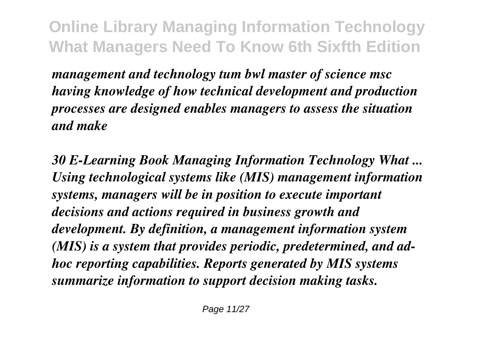*management and technology tum bwl master of science msc having knowledge of how technical development and production processes are designed enables managers to assess the situation and make*

*30 E-Learning Book Managing Information Technology What ... Using technological systems like (MIS) management information systems, managers will be in position to execute important decisions and actions required in business growth and development. By definition, a management information system (MIS) is a system that provides periodic, predetermined, and adhoc reporting capabilities. Reports generated by MIS systems summarize information to support decision making tasks.*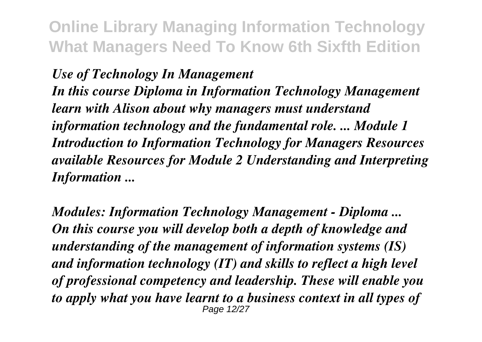## *Use of Technology In Management*

*In this course Diploma in Information Technology Management learn with Alison about why managers must understand information technology and the fundamental role. ... Module 1 Introduction to Information Technology for Managers Resources available Resources for Module 2 Understanding and Interpreting Information ...*

*Modules: Information Technology Management - Diploma ... On this course you will develop both a depth of knowledge and understanding of the management of information systems (IS) and information technology (IT) and skills to reflect a high level of professional competency and leadership. These will enable you to apply what you have learnt to a business context in all types of* Page 12/27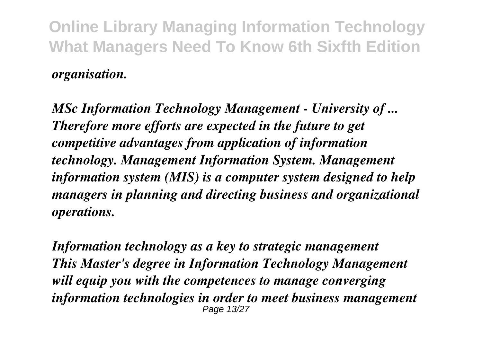*organisation.*

*MSc Information Technology Management - University of ... Therefore more efforts are expected in the future to get competitive advantages from application of information technology. Management Information System. Management information system (MIS) is a computer system designed to help managers in planning and directing business and organizational operations.*

*Information technology as a key to strategic management This Master's degree in Information Technology Management will equip you with the competences to manage converging information technologies in order to meet business management* Page 13/27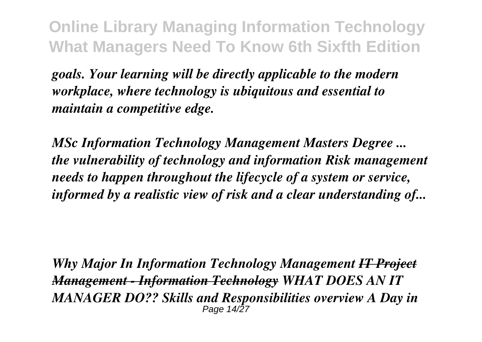*goals. Your learning will be directly applicable to the modern workplace, where technology is ubiquitous and essential to maintain a competitive edge.*

*MSc Information Technology Management Masters Degree ... the vulnerability of technology and information Risk management needs to happen throughout the lifecycle of a system or service, informed by a realistic view of risk and a clear understanding of...*

*Why Major In Information Technology Management IT Project Management - Information Technology WHAT DOES AN IT MANAGER DO?? Skills and Responsibilities overview A Day in* Page 14/27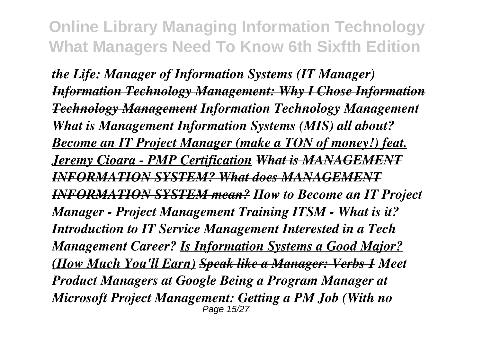*the Life: Manager of Information Systems (IT Manager) Information Technology Management: Why I Chose Information Technology Management Information Technology Management What is Management Information Systems (MIS) all about? Become an IT Project Manager (make a TON of money!) feat. Jeremy Cioara - PMP Certification What is MANAGEMENT INFORMATION SYSTEM? What does MANAGEMENT INFORMATION SYSTEM mean? How to Become an IT Project Manager - Project Management Training ITSM - What is it? Introduction to IT Service Management Interested in a Tech Management Career? Is Information Systems a Good Major? (How Much You'll Earn) Speak like a Manager: Verbs 1 Meet Product Managers at Google Being a Program Manager at Microsoft Project Management: Getting a PM Job (With no* Page 15/27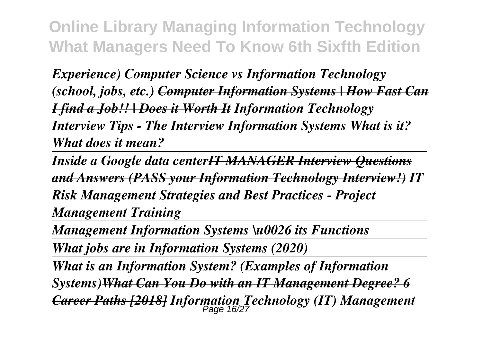*Experience) Computer Science vs Information Technology (school, jobs, etc.) Computer Information Systems | How Fast Can I find a Job!! | Does it Worth It Information Technology Interview Tips - The Interview Information Systems What is it? What does it mean?* 

*Inside a Google data centerIT MANAGER Interview Questions and Answers (PASS your Information Technology Interview!) IT Risk Management Strategies and Best Practices - Project Management Training*

*Management Information Systems \u0026 its Functions*

*What jobs are in Information Systems (2020)*

*What is an Information System? (Examples of Information*

*Systems)What Can You Do with an IT Management Degree? 6 Career Paths [2018] Information Technology (IT) Management* Page 16/27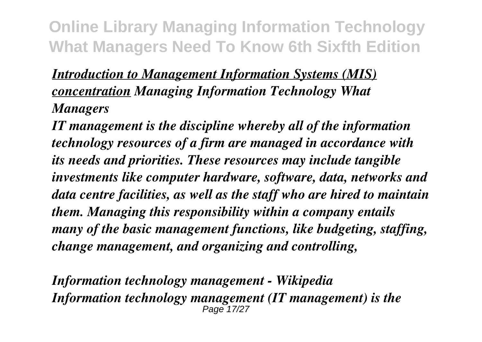## *Introduction to Management Information Systems (MIS) concentration Managing Information Technology What Managers*

*IT management is the discipline whereby all of the information technology resources of a firm are managed in accordance with its needs and priorities. These resources may include tangible investments like computer hardware, software, data, networks and data centre facilities, as well as the staff who are hired to maintain them. Managing this responsibility within a company entails many of the basic management functions, like budgeting, staffing, change management, and organizing and controlling,*

*Information technology management - Wikipedia Information technology management (IT management) is the* Page 17/27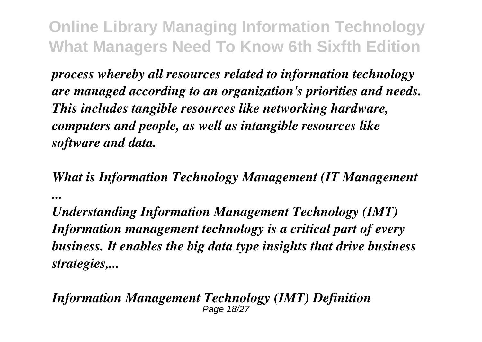*process whereby all resources related to information technology are managed according to an organization's priorities and needs. This includes tangible resources like networking hardware, computers and people, as well as intangible resources like software and data.*

*What is Information Technology Management (IT Management ...*

*Understanding Information Management Technology (IMT) Information management technology is a critical part of every business. It enables the big data type insights that drive business strategies,...*

## *Information Management Technology (IMT) Definition* Page 18/27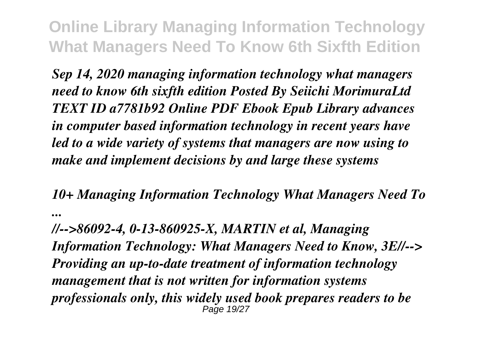*Sep 14, 2020 managing information technology what managers need to know 6th sixfth edition Posted By Seiichi MorimuraLtd TEXT ID a7781b92 Online PDF Ebook Epub Library advances in computer based information technology in recent years have led to a wide variety of systems that managers are now using to make and implement decisions by and large these systems*

*10+ Managing Information Technology What Managers Need To ...*

*//-->86092-4, 0-13-860925-X, MARTIN et al, Managing Information Technology: What Managers Need to Know, 3E//--> Providing an up-to-date treatment of information technology management that is not written for information systems professionals only, this widely used book prepares readers to be* Page 19/27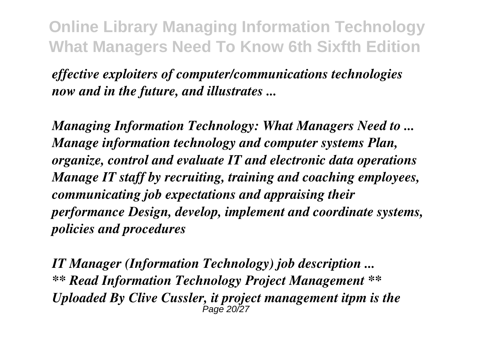*effective exploiters of computer/communications technologies now and in the future, and illustrates ...*

*Managing Information Technology: What Managers Need to ... Manage information technology and computer systems Plan, organize, control and evaluate IT and electronic data operations Manage IT staff by recruiting, training and coaching employees, communicating job expectations and appraising their performance Design, develop, implement and coordinate systems, policies and procedures*

*IT Manager (Information Technology) job description ... \*\* Read Information Technology Project Management \*\* Uploaded By Clive Cussler, it project management itpm is the* Page 20/27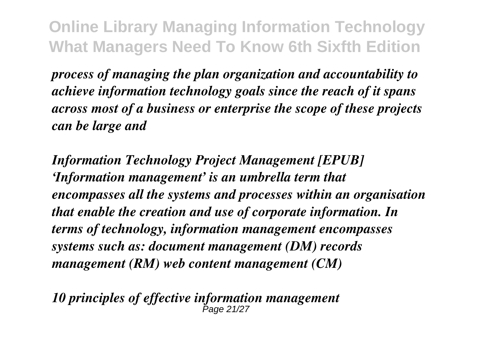*process of managing the plan organization and accountability to achieve information technology goals since the reach of it spans across most of a business or enterprise the scope of these projects can be large and*

*Information Technology Project Management [EPUB] 'Information management' is an umbrella term that encompasses all the systems and processes within an organisation that enable the creation and use of corporate information. In terms of technology, information management encompasses systems such as: document management (DM) records management (RM) web content management (CM)*

*10 principles of effective information management* Page 21/27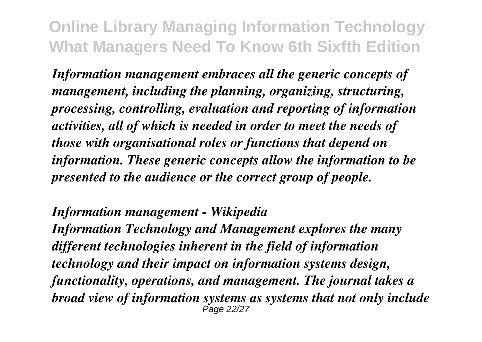*Information management embraces all the generic concepts of management, including the planning, organizing, structuring, processing, controlling, evaluation and reporting of information activities, all of which is needed in order to meet the needs of those with organisational roles or functions that depend on information. These generic concepts allow the information to be presented to the audience or the correct group of people.*

*Information management - Wikipedia*

*Information Technology and Management explores the many different technologies inherent in the field of information technology and their impact on information systems design, functionality, operations, and management. The journal takes a broad view of information systems as systems that not only include* Page 22/27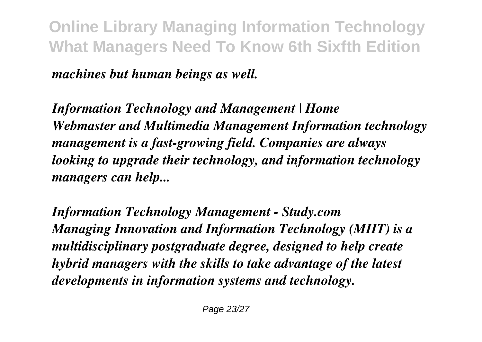*machines but human beings as well.*

*Information Technology and Management | Home Webmaster and Multimedia Management Information technology management is a fast-growing field. Companies are always looking to upgrade their technology, and information technology managers can help...*

*Information Technology Management - Study.com Managing Innovation and Information Technology (MIIT) is a multidisciplinary postgraduate degree, designed to help create hybrid managers with the skills to take advantage of the latest developments in information systems and technology.*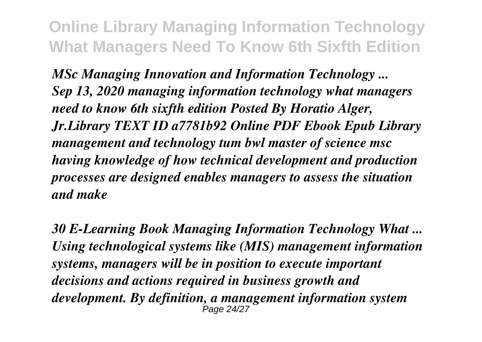*MSc Managing Innovation and Information Technology ... Sep 13, 2020 managing information technology what managers need to know 6th sixfth edition Posted By Horatio Alger, Jr.Library TEXT ID a7781b92 Online PDF Ebook Epub Library management and technology tum bwl master of science msc having knowledge of how technical development and production processes are designed enables managers to assess the situation and make*

*30 E-Learning Book Managing Information Technology What ... Using technological systems like (MIS) management information systems, managers will be in position to execute important decisions and actions required in business growth and development. By definition, a management information system* Page 24/27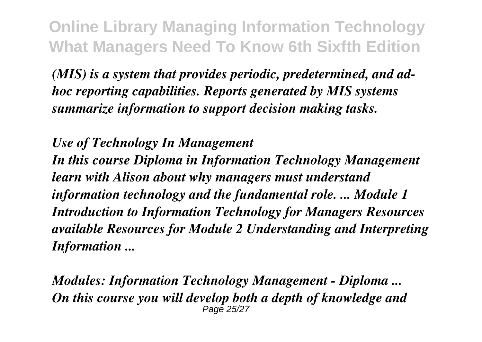*(MIS) is a system that provides periodic, predetermined, and adhoc reporting capabilities. Reports generated by MIS systems summarize information to support decision making tasks.*

*Use of Technology In Management*

*In this course Diploma in Information Technology Management learn with Alison about why managers must understand information technology and the fundamental role. ... Module 1 Introduction to Information Technology for Managers Resources available Resources for Module 2 Understanding and Interpreting Information ...*

*Modules: Information Technology Management - Diploma ... On this course you will develop both a depth of knowledge and* Page 25/27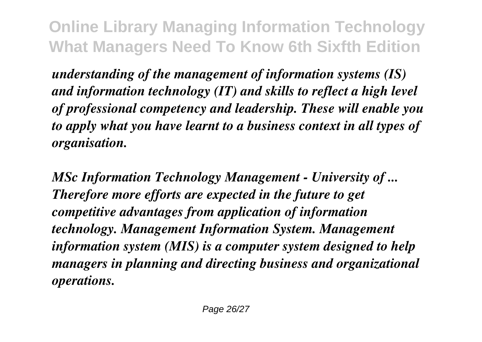*understanding of the management of information systems (IS) and information technology (IT) and skills to reflect a high level of professional competency and leadership. These will enable you to apply what you have learnt to a business context in all types of organisation.*

*MSc Information Technology Management - University of ... Therefore more efforts are expected in the future to get competitive advantages from application of information technology. Management Information System. Management information system (MIS) is a computer system designed to help managers in planning and directing business and organizational operations.*